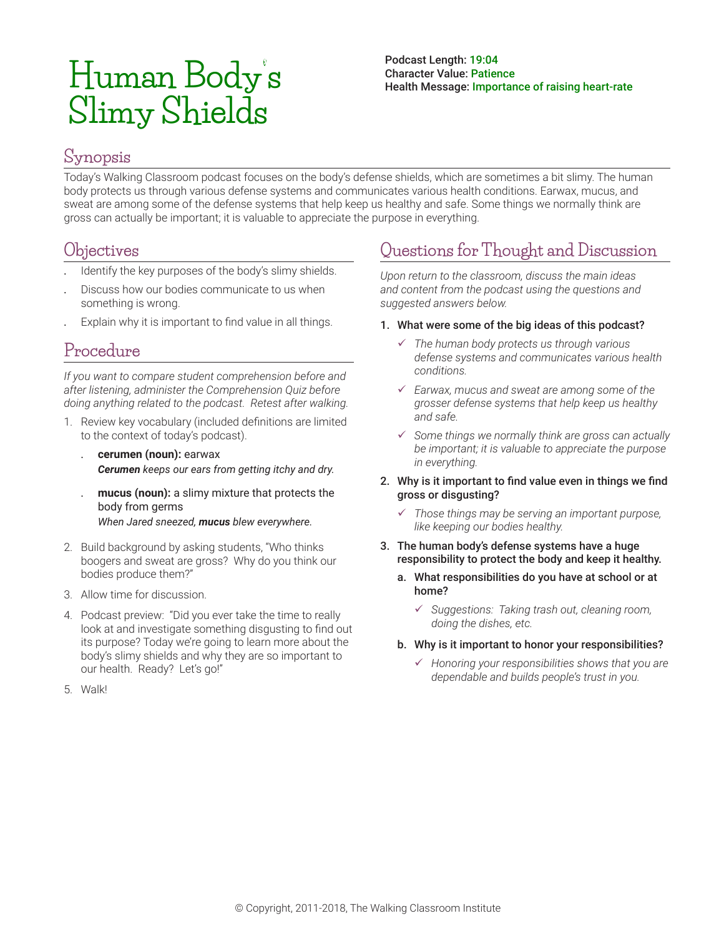# **Human Body's Slimy Shields**

#### Podcast Length: 19:04 Character Value: Patience Health Message: Importance of raising heart-rate

### **Synopsis**

Today's Walking Classroom podcast focuses on the body's defense shields, which are sometimes a bit slimy. The human body protects us through various defense systems and communicates various health conditions. Earwax, mucus, and sweat are among some of the defense systems that help keep us healthy and safe. Some things we normally think are gross can actually be important; it is valuable to appreciate the purpose in everything.

#### **Objectives**

- . Identify the key purposes of the body's slimy shields.
- . Discuss how our bodies communicate to us when something is wrong.
- . Explain why it is important to find value in all things.

# **Procedure**

*If you want to compare student comprehension before and after listening, administer the Comprehension Quiz before doing anything related to the podcast. Retest after walking.*

- 1. Review key vocabulary (included definitions are limited to the context of today's podcast).
	- . **cerumen (noun):** earwax *Cerumen keeps our ears from getting itchy and dry.*
	- . **mucus (noun):** a slimy mixture that protects the body from germs *When Jared sneezed, mucus blew everywhere.*
- 2. Build background by asking students, "Who thinks boogers and sweat are gross? Why do you think our bodies produce them?"
- 3. Allow time for discussion.
- 4. Podcast preview: "Did you ever take the time to really look at and investigate something disgusting to find out its purpose? Today we're going to learn more about the body's slimy shields and why they are so important to our health. Ready? Let's go!"
- 5. Walk!

# **Questions for Thought and Discussion**

*Upon return to the classroom, discuss the main ideas and content from the podcast using the questions and suggested answers below.*

- 1. What were some of the big ideas of this podcast?
	- 9 *The human body protects us through various defense systems and communicates various health conditions.*
	- 9 *Earwax, mucus and sweat are among some of the grosser defense systems that help keep us healthy and safe.*
	- 9 *Some things we normally think are gross can actually be important; it is valuable to appreciate the purpose in everything.*
- 2. Why is it important to find value even in things we find gross or disgusting?
	- 9 *Those things may be serving an important purpose, like keeping our bodies healthy.*
- 3. The human body's defense systems have a huge responsibility to protect the body and keep it healthy.
	- a. What responsibilities do you have at school or at home?
		- 9 *Suggestions: Taking trash out, cleaning room, doing the dishes, etc.*
	- b. Why is it important to honor your responsibilities?
		- 9 *Honoring your responsibilities shows that you are dependable and builds people's trust in you.*